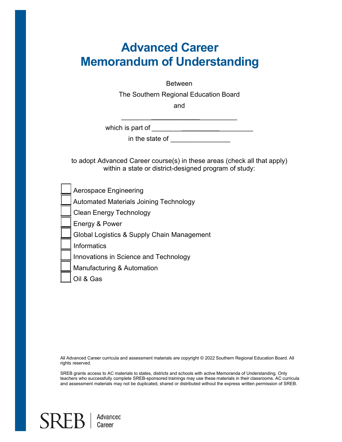# **Advanced Career Memorandum of Understanding**

Between

The Southern Regional Education Board

and

\_\_\_\_\_\_\_\_**\_\_\_\_\_\_\_\_\_\_\_\_\_**\_\_\_\_\_\_\_\_\_\_

which is part of \_\_\_\_\_\_\_\_**\_\_\_\_\_\_\_\_\_\_**\_\_\_\_\_\_\_\_\_

in the state of **with the state** of

to adopt Advanced Career course(s) in these areas (check all that apply) within a state or district-designed program of study:

|  | _l Aerospace Engineering |
|--|--------------------------|
|--|--------------------------|

Automated Materials Joining Technology

\_\_\_ Clean Energy Technology

Energy & Power

Global Logistics & Supply Chain Management

\_\_\_ Informatics

Innovations in Science and Technology

Manufacturing & Automation

\_\_\_ Oil & Gas

All Advanced Career curricula and assessment materials are copyright © 2022 Southern Regional Education Board. All rights reserved.

SREB grants access to AC materials to states, districts and schools with active Memoranda of Understanding. Only teachers who successfully complete SREB-sponsored trainings may use these materials in their classrooms. AC curricula and assessment materials may not be duplicated, shared or distributed without the express written permission of SREB.

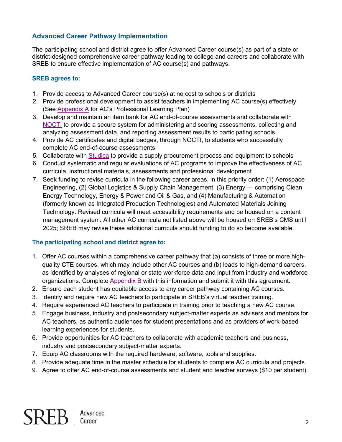# **Advanced Career Pathway Implementation**

The participating school and district agree to offer Advanced Career course(s) as part of a state or district-designed comprehensive career pathway leading to college and careers and collaborate with SREB to ensure effective implementation of AC course(s) and pathways.

## **SREB agrees to:**

- 1. Provide access to Advanced Career course(s) at no cost to schools or districts
- 2. Provide professional development to assist teachers in implementing AC course(s) effectively (See [Appendix A](#page-3-0) for AC's Professional Learning Plan)
- 3. Develop and maintain an item bank for AC end-of-course assessments and collaborate with [NOCTI](https://www.nocti.org/) to provide a secure system for administering and scoring assessments, collecting and analyzing assessment data, and reporting assessment results to participating schools
- 4. Provide AC certificates and digital badges, through NOCTI, to students who successfully complete AC end-of-course assessments
- 5. Collaborate with [Studica](https://www.studica.com/sreb-advanced-career-pathways-overview) to provide a supply procurement process and equipment to schools
- 6. Conduct systematic and regular evaluations of AC programs to improve the effectiveness of AC curricula, instructional materials, assessments and professional development
- 7. Seek funding to revise curricula in the following career areas, in this priority order: (1) Aerospace Engineering, (2) Global Logistics & Supply Chain Management, (3) Energy — comprising Clean Energy Technology, Energy & Power and Oil & Gas, and (4) Manufacturing & Automation (formerly known as Integrated Production Technologies) and Automated Materials Joining Technology. Revised curricula will meet accessibility requirements and be housed on a content management system. All other AC curricula not listed above will be housed on SREB's CMS until 2025; SREB may revise these additional curricula should funding to do so become available.

## **The participating school and district agree to:**

- 1. Offer AC courses within a comprehensive career pathway that (a) consists of three or more highquality CTE courses, which may include other AC courses and (b) leads to high-demand careers, as identified by analyses of regional or state workforce data and input from industry and workforce organizations. Complete [Appendix B](#page-4-0) with this information and submit it with this agreement.
- 2. Ensure each student has equitable access to any career pathway containing AC courses.
- 3. Identify and require new AC teachers to participate in SREB's virtual teacher training.
- 4. Require experienced AC teachers to participate in training prior to teaching a new AC course.
- 5. Engage business, industry and postsecondary subject-matter experts as advisers and mentors for AC teachers, as authentic audiences for student presentations and as providers of work-based learning experiences for students.
- 6. Provide opportunities for AC teachers to collaborate with academic teachers and business, industry and postsecondary subject-matter experts.
- 7. Equip AC classrooms with the required hardware, software, tools and supplies.
- 8. Provide adequate time in the master schedule for students to complete AC curricula and projects.
- 9. Agree to offer AC end-of-course assessments and student and teacher surveys (\$10 per student).

 $SREB$   $|$   $Career$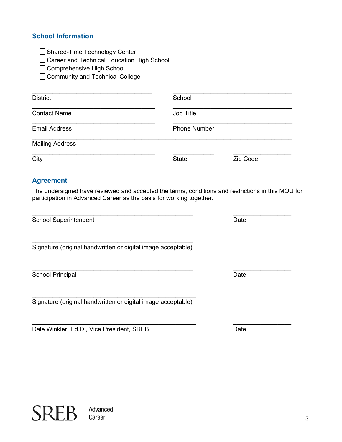## **School Information**

□ Shared-Time Technology Center

□ Career and Technical Education High School

□ Comprehensive High School

☐ Community and Technical College

| <b>District</b>        | School       |                     |  |
|------------------------|--------------|---------------------|--|
| <b>Contact Name</b>    | Job Title    |                     |  |
| <b>Email Address</b>   |              | <b>Phone Number</b> |  |
| <b>Mailing Address</b> |              |                     |  |
| City                   | <b>State</b> | Zip Code            |  |

## **Agreement**

The undersigned have reviewed and accepted the terms, conditions and restrictions in this MOU for participation in Advanced Career as the basis for working together.

 $\_$  , and the contribution of the contribution of  $\overline{\phantom{a}}$  ,  $\overline{\phantom{a}}$  ,  $\overline{\phantom{a}}$  ,  $\overline{\phantom{a}}$  ,  $\overline{\phantom{a}}$  ,  $\overline{\phantom{a}}$  ,  $\overline{\phantom{a}}$  ,  $\overline{\phantom{a}}$  ,  $\overline{\phantom{a}}$  ,  $\overline{\phantom{a}}$  ,  $\overline{\phantom{a}}$  ,  $\overline{\phantom{a}}$  ,  $\over$ 

School Superintendent Date Controller and Date Date Date

\_\_\_\_\_\_\_\_\_\_\_\_\_\_\_\_\_\_\_\_\_\_\_\_\_\_\_\_\_\_\_\_\_\_\_\_\_\_\_\_\_\_\_\_\_\_\_ Signature (original handwritten or digital image acceptable)

School Principal Date Control of the Control of the Control of the Date Date Date

\_\_\_\_\_\_\_\_\_\_\_\_\_\_\_\_\_\_\_\_\_\_\_\_\_\_\_\_\_\_\_\_\_\_\_\_\_\_\_\_\_\_\_\_\_\_\_\_ Signature (original handwritten or digital image acceptable)

Dale Winkler, Ed.D., Vice President, SREB Date



 $\_$  , and the set of the set of the set of the set of the set of the set of the set of the set of the set of the set of the set of the set of the set of the set of the set of the set of the set of the set of the set of th

 $\_$  , and the set of the set of the set of the set of the set of the set of the set of the set of the set of the set of the set of the set of the set of the set of the set of the set of the set of the set of the set of th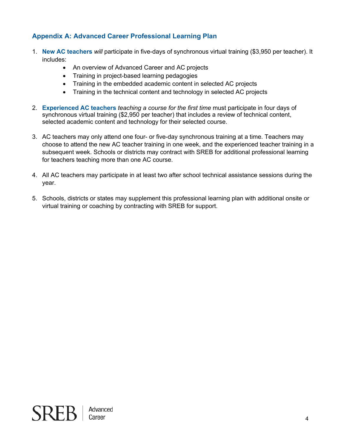# <span id="page-3-0"></span>**Appendix A: Advanced Career Professional Learning Plan**

- 1. **New AC teachers** *will* participate in five-days of synchronous virtual training (\$3,950 per teacher). It includes:
	- An overview of Advanced Career and AC projects
	- Training in project-based learning pedagogies
	- Training in the embedded academic content in selected AC projects
	- Training in the technical content and technology in selected AC projects
- 2. **Experienced AC teachers** *teaching a course for the first time* must participate in four days of synchronous virtual training (\$2,950 per teacher) that includes a review of technical content, selected academic content and technology for their selected course.
- 3. AC teachers may only attend one four- or five-day synchronous training at a time. Teachers may choose to attend the new AC teacher training in one week, and the experienced teacher training in a subsequent week. Schools or districts may contract with SREB for additional professional learning for teachers teaching more than one AC course.
- 4. All AC teachers may participate in at least two after school technical assistance sessions during the year.
- 5. Schools, districts or states may supplement this professional learning plan with additional onsite or virtual training or coaching by contracting with SREB for support.